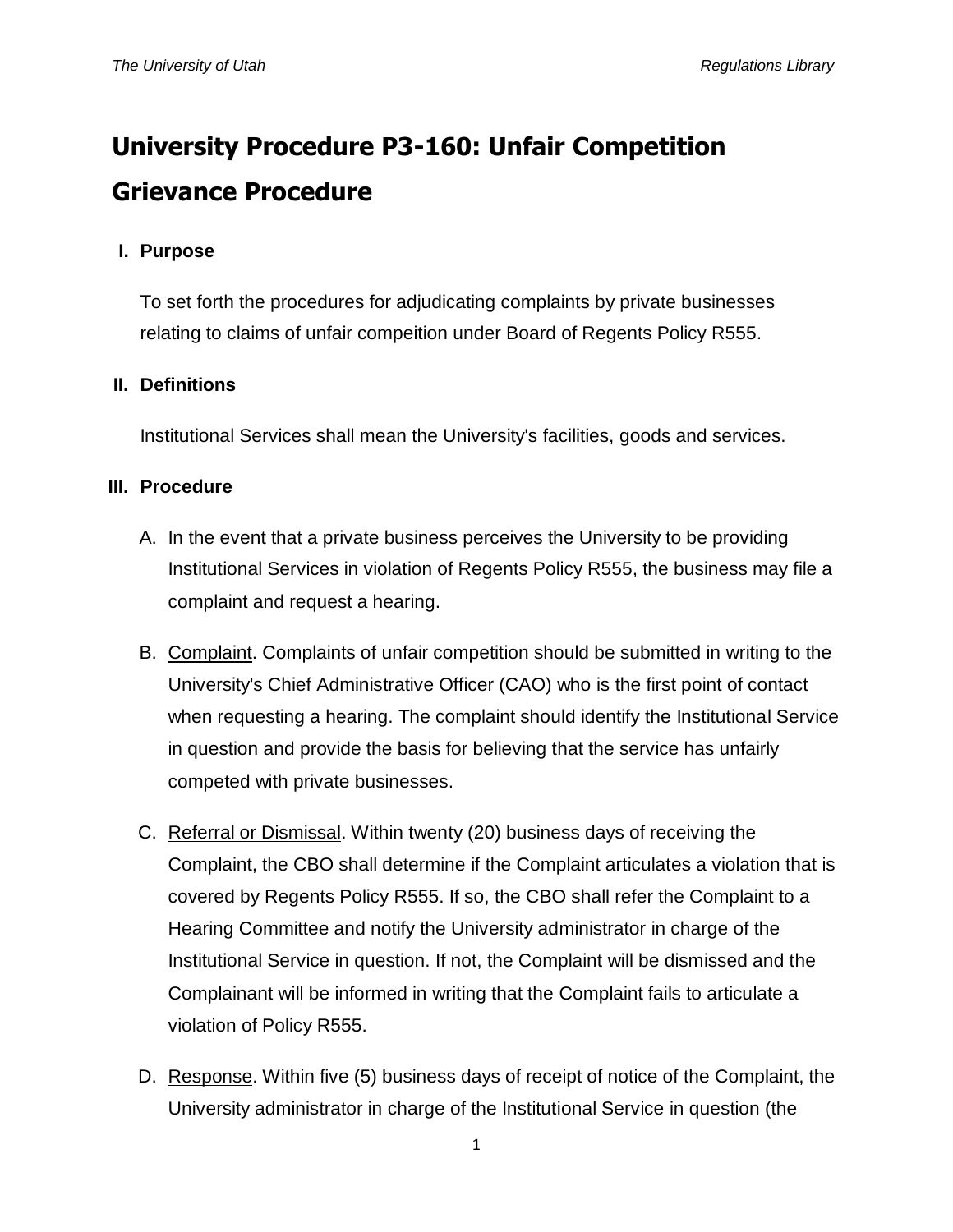# **University Procedure P3-160: Unfair Competition Grievance Procedure**

#### **I. Purpose**

To set forth the procedures for adjudicating complaints by private businesses relating to claims of unfair compeition under Board of Regents Policy R555.

#### **II. Definitions**

Institutional Services shall mean the University's facilities, goods and services.

#### **III. Procedure**

- A. In the event that a private business perceives the University to be providing Institutional Services in violation of Regents Policy R555, the business may file a complaint and request a hearing.
- B. Complaint. Complaints of unfair competition should be submitted in writing to the University's Chief Administrative Officer (CAO) who is the first point of contact when requesting a hearing. The complaint should identify the Institutional Service in question and provide the basis for believing that the service has unfairly competed with private businesses.
- C. Referral or Dismissal. Within twenty (20) business days of receiving the Complaint, the CBO shall determine if the Complaint articulates a violation that is covered by Regents Policy R555. If so, the CBO shall refer the Complaint to a Hearing Committee and notify the University administrator in charge of the Institutional Service in question. If not, the Complaint will be dismissed and the Complainant will be informed in writing that the Complaint fails to articulate a violation of Policy R555.
- D. Response. Within five (5) business days of receipt of notice of the Complaint, the University administrator in charge of the Institutional Service in question (the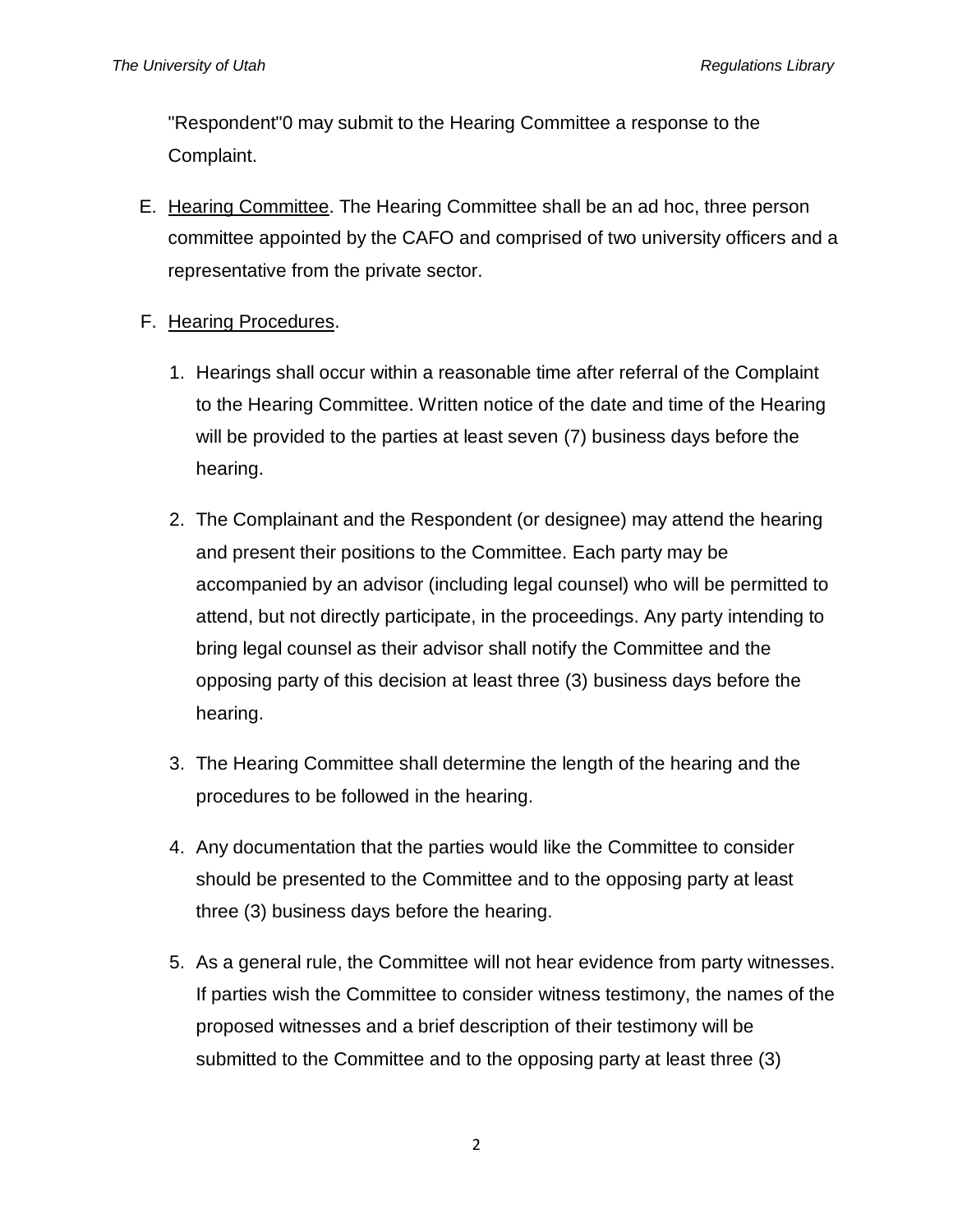"Respondent"0 may submit to the Hearing Committee a response to the Complaint.

E. Hearing Committee. The Hearing Committee shall be an ad hoc, three person committee appointed by the CAFO and comprised of two university officers and a representative from the private sector.

### F. Hearing Procedures.

- 1. Hearings shall occur within a reasonable time after referral of the Complaint to the Hearing Committee. Written notice of the date and time of the Hearing will be provided to the parties at least seven (7) business days before the hearing.
- 2. The Complainant and the Respondent (or designee) may attend the hearing and present their positions to the Committee. Each party may be accompanied by an advisor (including legal counsel) who will be permitted to attend, but not directly participate, in the proceedings. Any party intending to bring legal counsel as their advisor shall notify the Committee and the opposing party of this decision at least three (3) business days before the hearing.
- 3. The Hearing Committee shall determine the length of the hearing and the procedures to be followed in the hearing.
- 4. Any documentation that the parties would like the Committee to consider should be presented to the Committee and to the opposing party at least three (3) business days before the hearing.
- 5. As a general rule, the Committee will not hear evidence from party witnesses. If parties wish the Committee to consider witness testimony, the names of the proposed witnesses and a brief description of their testimony will be submitted to the Committee and to the opposing party at least three (3)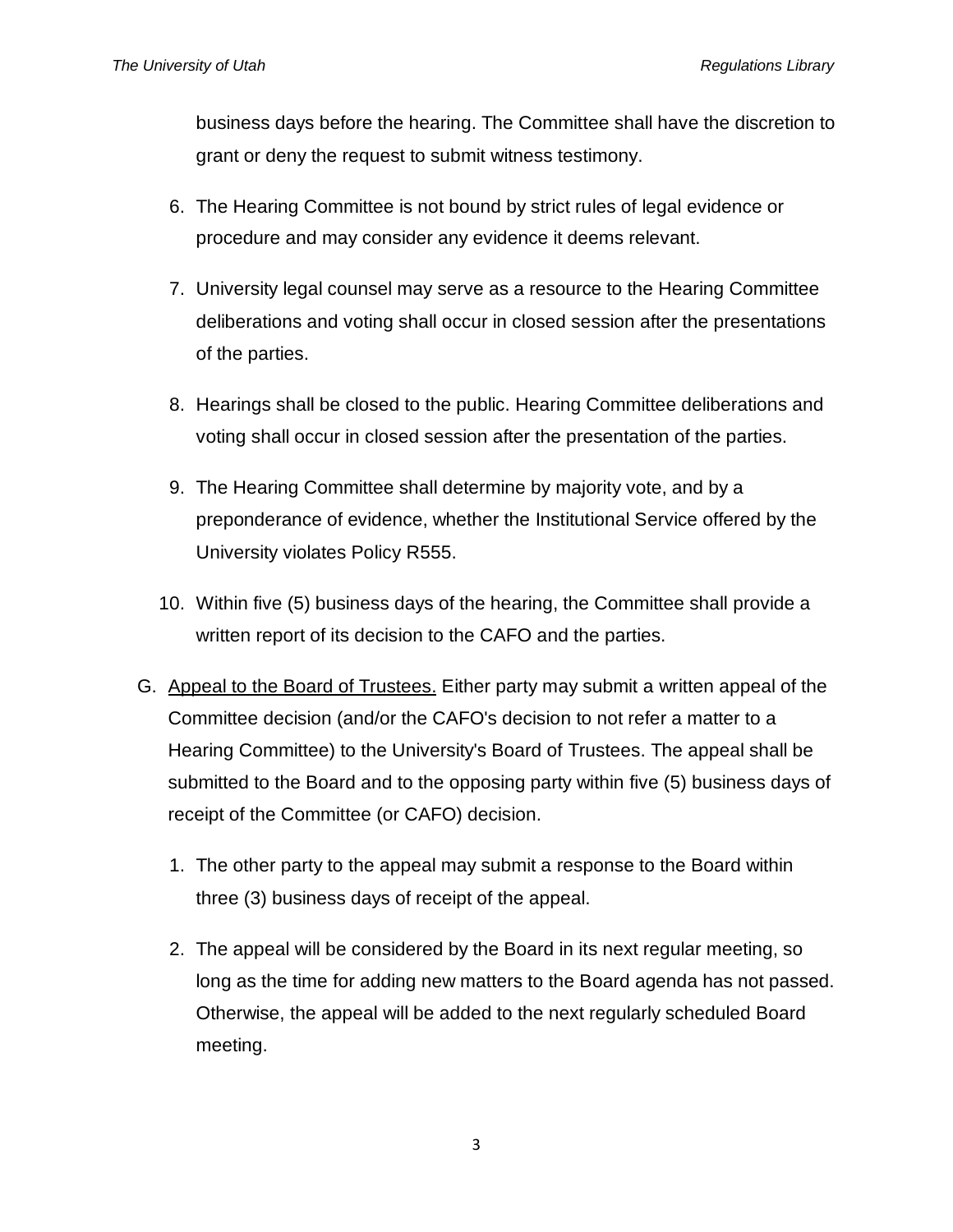business days before the hearing. The Committee shall have the discretion to grant or deny the request to submit witness testimony.

- 6. The Hearing Committee is not bound by strict rules of legal evidence or procedure and may consider any evidence it deems relevant.
- 7. University legal counsel may serve as a resource to the Hearing Committee deliberations and voting shall occur in closed session after the presentations of the parties.
- 8. Hearings shall be closed to the public. Hearing Committee deliberations and voting shall occur in closed session after the presentation of the parties.
- 9. The Hearing Committee shall determine by majority vote, and by a preponderance of evidence, whether the Institutional Service offered by the University violates Policy R555.
- 10. Within five (5) business days of the hearing, the Committee shall provide a written report of its decision to the CAFO and the parties.
- G. Appeal to the Board of Trustees. Either party may submit a written appeal of the Committee decision (and/or the CAFO's decision to not refer a matter to a Hearing Committee) to the University's Board of Trustees. The appeal shall be submitted to the Board and to the opposing party within five (5) business days of receipt of the Committee (or CAFO) decision.
	- 1. The other party to the appeal may submit a response to the Board within three (3) business days of receipt of the appeal.
	- 2. The appeal will be considered by the Board in its next regular meeting, so long as the time for adding new matters to the Board agenda has not passed. Otherwise, the appeal will be added to the next regularly scheduled Board meeting.